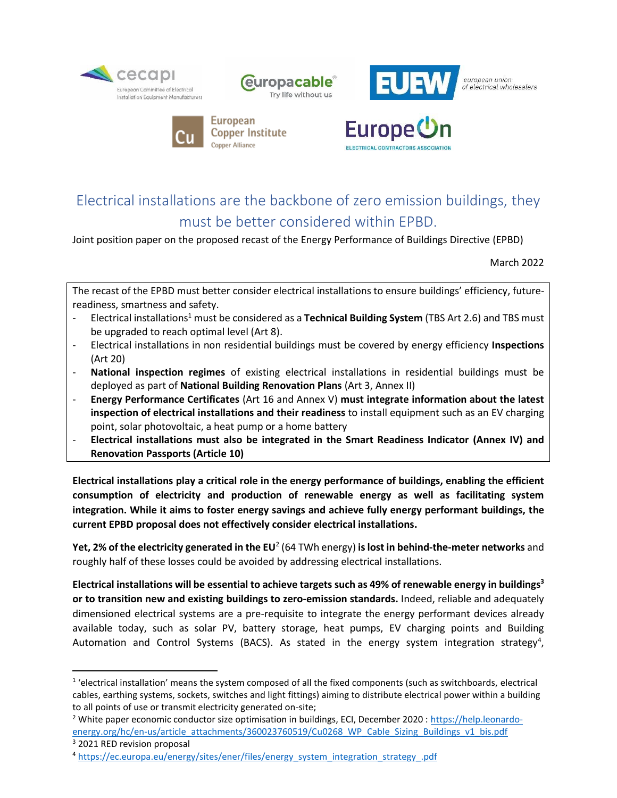





european union of electrical wholesalers





## Electrical installations are the backbone of zero emission buildings, they must be better considered within EPBD.

Joint position paper on the proposed recast of the Energy Performance of Buildings Directive (EPBD)

March 2022

The recast of the EPBD must better consider electrical installations to ensure buildings' efficiency, futurereadiness, smartness and safety.

- Electrical installations<sup>1</sup> must be considered as a **Technical Building System** (TBS Art 2.6) and TBS must be upgraded to reach optimal level (Art 8).
- Electrical installations in non residential buildings must be covered by energy efficiency **Inspections** (Art 20)
- **National inspection regimes** of existing electrical installations in residential buildings must be deployed as part of **National Building Renovation Plans** (Art 3, Annex II)
- **Energy Performance Certificates** (Art 16 and Annex V) **must integrate information about the latest inspection of electrical installations and their readiness** to install equipment such as an EV charging point, solar photovoltaic, a heat pump or a home battery
- **Electrical installations must also be integrated in the Smart Readiness Indicator (Annex IV) and Renovation Passports (Article 10)**

**Electrical installations play a critical role in the energy performance of buildings, enabling the efficient consumption of electricity and production of renewable energy as well as facilitating system integration. While it aims to foster energy savings and achieve fully energy performant buildings, the current EPBD proposal does not effectively consider electrical installations.**

**Yet, 2% of the electricity generated in the EU<sup>2</sup> (64 TWh energy) <b>is lost in behind-the-meter networks** and roughly half of these losses could be avoided by addressing electrical installations.

**Electrical installations will be essential to achieve targets such as 49% of renewable energy in buildings<sup>3</sup> or to transition new and existing buildings to zero-emission standards.** Indeed, reliable and adequately dimensioned electrical systems are a pre-requisite to integrate the energy performant devices already available today, such as solar PV, battery storage, heat pumps, EV charging points and Building Automation and Control Systems (BACS). As stated in the energy system integration strategy<sup>4</sup>,

<sup>&</sup>lt;sup>1</sup> 'electrical installation' means the system composed of all the fixed components (such as switchboards, electrical cables, earthing systems, sockets, switches and light fittings) aiming to distribute electrical power within a building to all points of use or transmit electricity generated on-site;

<sup>2</sup> White paper economic conductor size optimisation in buildings, ECI, December 2020 : [https://help.leonardo](https://help.leonardo-energy.org/hc/en-us/article_attachments/360023760519/Cu0268_WP_Cable_Sizing_Buildings_v1_bis.pdf)[energy.org/hc/en-us/article\\_attachments/360023760519/Cu0268\\_WP\\_Cable\\_Sizing\\_Buildings\\_v1\\_bis.pdf](https://help.leonardo-energy.org/hc/en-us/article_attachments/360023760519/Cu0268_WP_Cable_Sizing_Buildings_v1_bis.pdf)

<sup>3</sup> 2021 RED revision proposal

<sup>4</sup> [https://ec.europa.eu/energy/sites/ener/files/energy\\_system\\_integration\\_strategy\\_.pdf](https://ec.europa.eu/energy/sites/ener/files/energy_system_integration_strategy_.pdf)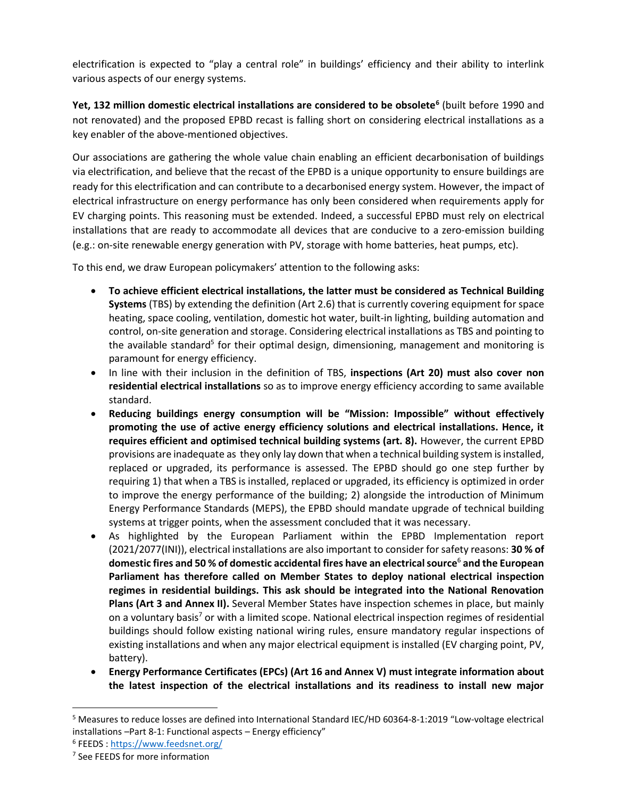electrification is expected to "play a central role" in buildings' efficiency and their ability to interlink various aspects of our energy systems.

**Yet, 132 million domestic electrical installations are considered to be obsolete<sup>6</sup>** (built before 1990 and not renovated) and the proposed EPBD recast is falling short on considering electrical installations as a key enabler of the above-mentioned objectives.

Our associations are gathering the whole value chain enabling an efficient decarbonisation of buildings via electrification, and believe that the recast of the EPBD is a unique opportunity to ensure buildings are ready for this electrification and can contribute to a decarbonised energy system. However, the impact of electrical infrastructure on energy performance has only been considered when requirements apply for EV charging points. This reasoning must be extended. Indeed, a successful EPBD must rely on electrical installations that are ready to accommodate all devices that are conducive to a zero-emission building (e.g.: on-site renewable energy generation with PV, storage with home batteries, heat pumps, etc).

To this end, we draw European policymakers' attention to the following asks:

- **To achieve efficient electrical installations, the latter must be considered as Technical Building Systems** (TBS) by extending the definition (Art 2.6) that is currently covering equipment for space heating, space cooling, ventilation, domestic hot water, built-in lighting, building automation and control, on-site generation and storage. Considering electrical installations as TBS and pointing to the available standard<sup>5</sup> for their optimal design, dimensioning, management and monitoring is paramount for energy efficiency.
- In line with their inclusion in the definition of TBS, **inspections (Art 20) must also cover non residential electrical installations** so as to improve energy efficiency according to same available standard.
- **Reducing buildings energy consumption will be "Mission: Impossible" without effectively promoting the use of active energy efficiency solutions and electrical installations. Hence, it requires efficient and optimised technical building systems (art. 8).** However, the current EPBD provisions are inadequate as they only lay down that when a technical building system is installed, replaced or upgraded, its performance is assessed. The EPBD should go one step further by requiring 1) that when a TBS is installed, replaced or upgraded, its efficiency is optimized in order to improve the energy performance of the building; 2) alongside the introduction of Minimum Energy Performance Standards (MEPS), the EPBD should mandate upgrade of technical building systems at trigger points, when the assessment concluded that it was necessary.
- As highlighted by the European Parliament within the EPBD Implementation report (2021/2077(INI)), electrical installations are also important to consider for safety reasons: **30 % of domestic fires and 50 % of domestic accidental fires have an electrical source**<sup>6</sup> **and the European Parliament has therefore called on Member States to deploy national electrical inspection regimes in residential buildings. This ask should be integrated into the National Renovation Plans (Art 3 and Annex II).** Several Member States have inspection schemes in place, but mainly on a voluntary basis<sup>7</sup> or with a limited scope. National electrical inspection regimes of residential buildings should follow existing national wiring rules, ensure mandatory regular inspections of existing installations and when any major electrical equipment is installed (EV charging point, PV, battery).
- **Energy Performance Certificates (EPCs) (Art 16 and Annex V) must integrate information about the latest inspection of the electrical installations and its readiness to install new major**

<sup>5</sup> Measures to reduce losses are defined into International Standard IEC/HD 60364-8-1:2019 "Low-voltage electrical installations –Part 8-1: Functional aspects – Energy efficiency"

<sup>6</sup> FEEDS :<https://www.feedsnet.org/>

<sup>7</sup> See FEEDS for more information